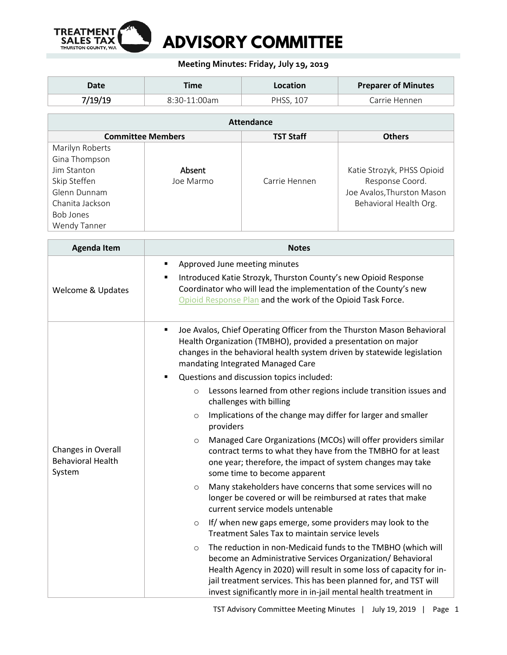

## **Meeting Minutes: Friday, July 19, 2019**

| Date    | ™e             | Location     | <b>Preparer of Minutes</b> |
|---------|----------------|--------------|----------------------------|
| 7/19/19 | $8:30-11:00am$ | <b>PHSS.</b> | Carrie Hennen              |

| <b>Attendance</b>        |           |                  |                            |  |  |  |
|--------------------------|-----------|------------------|----------------------------|--|--|--|
| <b>Committee Members</b> |           | <b>TST Staff</b> | <b>Others</b>              |  |  |  |
| Marilyn Roberts          |           |                  |                            |  |  |  |
| Gina Thompson            |           |                  |                            |  |  |  |
| Jim Stanton              | Absent    |                  | Katie Strozyk, PHSS Opioid |  |  |  |
| Skip Steffen             | Joe Marmo | Carrie Hennen    | Response Coord.            |  |  |  |
| Glenn Dunnam             |           |                  | Joe Avalos, Thurston Mason |  |  |  |
| Chanita Jackson          |           |                  | Behavioral Health Org.     |  |  |  |
| Bob Jones                |           |                  |                            |  |  |  |
| Wendy Tanner             |           |                  |                            |  |  |  |

| <b>Agenda Item</b>                                       | <b>Notes</b>                                                                                                                                                                                                                                                                                                                                       |  |  |
|----------------------------------------------------------|----------------------------------------------------------------------------------------------------------------------------------------------------------------------------------------------------------------------------------------------------------------------------------------------------------------------------------------------------|--|--|
| Welcome & Updates                                        | Approved June meeting minutes<br>٠<br>Introduced Katie Strozyk, Thurston County's new Opioid Response<br>٠<br>Coordinator who will lead the implementation of the County's new<br>Opioid Response Plan and the work of the Opioid Task Force.                                                                                                      |  |  |
| Changes in Overall<br><b>Behavioral Health</b><br>System | Joe Avalos, Chief Operating Officer from the Thurston Mason Behavioral<br>٠<br>Health Organization (TMBHO), provided a presentation on major<br>changes in the behavioral health system driven by statewide legislation<br>mandating Integrated Managed Care<br>Questions and discussion topics included:<br>٠                                     |  |  |
|                                                          | Lessons learned from other regions include transition issues and<br>$\circ$<br>challenges with billing<br>Implications of the change may differ for larger and smaller<br>$\circ$<br>providers                                                                                                                                                     |  |  |
|                                                          | Managed Care Organizations (MCOs) will offer providers similar<br>$\circ$<br>contract terms to what they have from the TMBHO for at least<br>one year; therefore, the impact of system changes may take<br>some time to become apparent                                                                                                            |  |  |
|                                                          | Many stakeholders have concerns that some services will no<br>$\circ$<br>longer be covered or will be reimbursed at rates that make<br>current service models untenable                                                                                                                                                                            |  |  |
|                                                          | If/ when new gaps emerge, some providers may look to the<br>$\circ$<br>Treatment Sales Tax to maintain service levels                                                                                                                                                                                                                              |  |  |
|                                                          | The reduction in non-Medicaid funds to the TMBHO (which will<br>$\circ$<br>become an Administrative Services Organization/Behavioral<br>Health Agency in 2020) will result in some loss of capacity for in-<br>jail treatment services. This has been planned for, and TST will<br>invest significantly more in in-jail mental health treatment in |  |  |